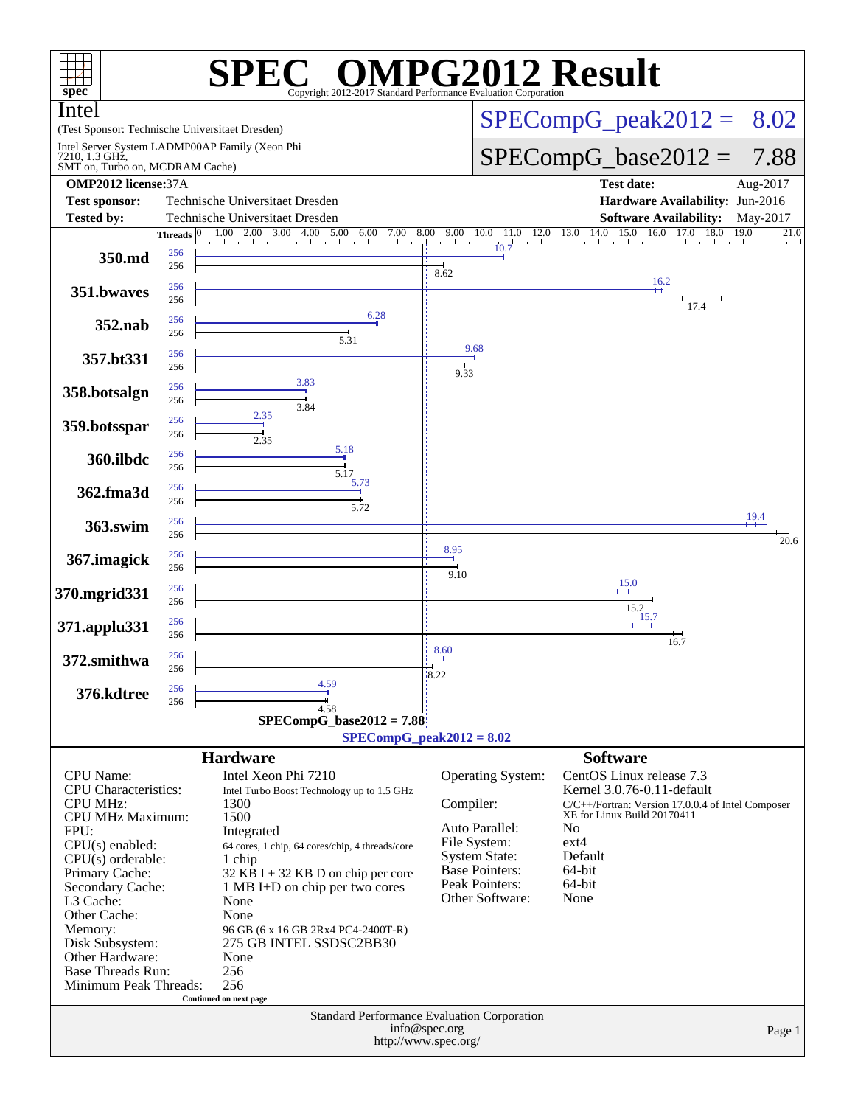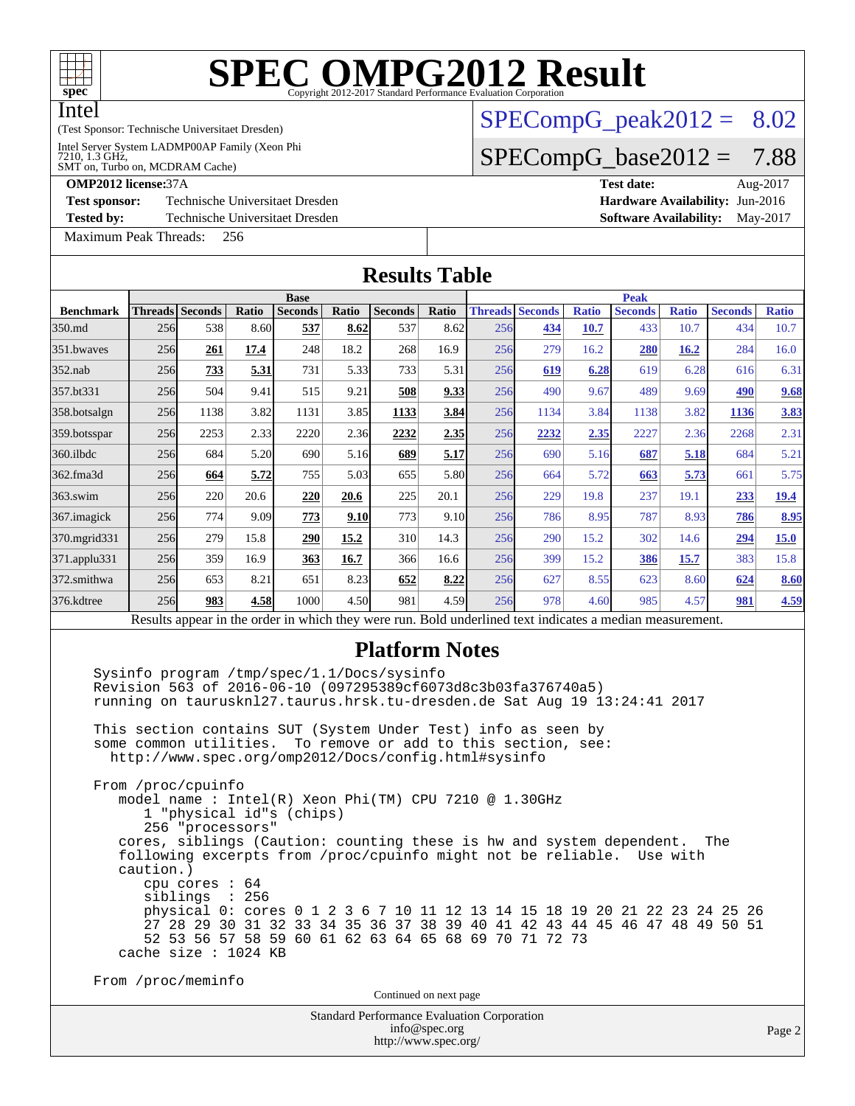

# **[SPEC OMPG2012 Result](http://www.spec.org/auto/omp2012/Docs/result-fields.html#SPECOMPG2012Result)**

#### (Test Sponsor: Technische Universitaet Dresden)

Intel Server System LADMP00AP Family (Xeon Phi<br>7210, 1.3 GHz,<br>SMT on, Turbo on, MCDRAM Cache)

## $SPECompG_peak2012 = 8.02$  $SPECompG_peak2012 = 8.02$

## $SPECompG_base2012 = 7.88$  $SPECompG_base2012 = 7.88$

[Test sponsor:](http://www.spec.org/auto/omp2012/Docs/result-fields.html#Testsponsor) Technische Universitaet Dresden **[Hardware Availability:](http://www.spec.org/auto/omp2012/Docs/result-fields.html#HardwareAvailability)** Jun-2016

**[Tested by:](http://www.spec.org/auto/omp2012/Docs/result-fields.html#Testedby)** Technische Universitaet Dresden **[Software Availability:](http://www.spec.org/auto/omp2012/Docs/result-fields.html#SoftwareAvailability)** May-2017

[Maximum Peak Threads:](http://www.spec.org/auto/omp2012/Docs/result-fields.html#MaximumPeakThreads) 256

**[OMP2012 license:](http://www.spec.org/auto/omp2012/Docs/result-fields.html#OMP2012license)**37A **[Test date:](http://www.spec.org/auto/omp2012/Docs/result-fields.html#Testdate)** Aug-2017

| <b>Results Table</b> |                 |                                                                                                                                  |       |                |             |                                                                                                                                                                                                                                                                                                                                |       |     |                        |              |                                                                                                          |              |                                                                                                                                                                 |              |
|----------------------|-----------------|----------------------------------------------------------------------------------------------------------------------------------|-------|----------------|-------------|--------------------------------------------------------------------------------------------------------------------------------------------------------------------------------------------------------------------------------------------------------------------------------------------------------------------------------|-------|-----|------------------------|--------------|----------------------------------------------------------------------------------------------------------|--------------|-----------------------------------------------------------------------------------------------------------------------------------------------------------------|--------------|
|                      |                 |                                                                                                                                  |       | <b>Base</b>    |             |                                                                                                                                                                                                                                                                                                                                |       |     |                        |              | <b>Peak</b>                                                                                              |              |                                                                                                                                                                 |              |
| <b>Benchmark</b>     | Threads Seconds |                                                                                                                                  | Ratio | <b>Seconds</b> | Ratio       | <b>Seconds</b>                                                                                                                                                                                                                                                                                                                 | Ratio |     | <b>Threads Seconds</b> | <b>Ratio</b> | <b>Seconds</b>                                                                                           | <b>Ratio</b> | <b>Seconds</b>                                                                                                                                                  | <b>Ratio</b> |
| 350.md               | 256             | 538                                                                                                                              | 8.60  | 537            | 8.62        | 537                                                                                                                                                                                                                                                                                                                            | 8.62  | 256 | 434                    | 10.7         | 433                                                                                                      | 10.7         | 434                                                                                                                                                             | 10.7         |
| 351.bwaves           | 256             | 261                                                                                                                              | 17.4  | 248            | 18.2        | 268                                                                                                                                                                                                                                                                                                                            | 16.9  | 256 | 279                    | 16.2         | <b>280</b>                                                                                               | <b>16.2</b>  | 284                                                                                                                                                             | 16.0         |
| $352$ .nab           | 256             | 733                                                                                                                              | 5.31  | 731            | 5.33        | 733                                                                                                                                                                                                                                                                                                                            | 5.31  | 256 | 619                    | 6.28         | 619                                                                                                      | 6.28         | 616                                                                                                                                                             | 6.31         |
| 357.bt331            | 256             | 504                                                                                                                              | 9.41  | 515            | 9.21        | 508                                                                                                                                                                                                                                                                                                                            | 9.33  | 256 | 490                    | 9.67         | 489                                                                                                      | 9.69         | 490                                                                                                                                                             | 9.68         |
| 358.botsalgn         | 256             | 1138                                                                                                                             | 3.82  | 1131           | 3.85        | 1133                                                                                                                                                                                                                                                                                                                           | 3.84  | 256 | 1134                   | 3.84         | 1138                                                                                                     | 3.82         | 1136                                                                                                                                                            | 3.83         |
| 359.botsspar         | 256             | 2253                                                                                                                             | 2.33  | 2220           | 2.36        | 2232                                                                                                                                                                                                                                                                                                                           | 2.35  | 256 | 2232                   | 2.35         | 2227                                                                                                     | 2.36         | 2268                                                                                                                                                            | 2.31         |
| $360$ .ilbdc         | 256             | 684                                                                                                                              | 5.20  | 690            | 5.16        | 689                                                                                                                                                                                                                                                                                                                            | 5.17  | 256 | 690                    | 5.16         | 687                                                                                                      | 5.18         | 684                                                                                                                                                             | 5.21         |
| 362.fma3d            | 256             | 664                                                                                                                              | 5.72  | 755            | 5.03        | 655                                                                                                                                                                                                                                                                                                                            | 5.80  | 256 | 664                    | 5.72         | 663                                                                                                      | 5.73         | 661                                                                                                                                                             | 5.75         |
| $363$ .swim          | 256             | 220                                                                                                                              | 20.6  | 220            | <b>20.6</b> | 225                                                                                                                                                                                                                                                                                                                            | 20.1  | 256 | 229                    | 19.8         | 237                                                                                                      | 19.1         | 233                                                                                                                                                             | <u>19.4</u>  |
| 367. imagick         | 256             | 774                                                                                                                              | 9.09  | 773            | 9.10        | 773                                                                                                                                                                                                                                                                                                                            | 9.10  | 256 | 786                    | 8.95         | 787                                                                                                      | 8.93         | 786                                                                                                                                                             | 8.95         |
| 370.mgrid331         | 256             | 279                                                                                                                              | 15.8  | 290            | 15.2        | 310                                                                                                                                                                                                                                                                                                                            | 14.3  | 256 | 290                    | 15.2         | 302                                                                                                      | 14.6         | 294                                                                                                                                                             | 15.0         |
| 371.applu331         | 256             | 359                                                                                                                              | 16.9  | 363            | 16.7        | 366                                                                                                                                                                                                                                                                                                                            | 16.6  | 256 | 399                    | 15.2         | 386                                                                                                      | 15.7         | 383                                                                                                                                                             | 15.8         |
| 372.smithwa          | 256             | 653                                                                                                                              | 8.21  | 651            | 8.23        | 652                                                                                                                                                                                                                                                                                                                            | 8.22  | 256 | 627                    | 8.55         | 623                                                                                                      | 8.60         | 624                                                                                                                                                             | 8.60         |
| 376.kdtree           | 256             | 983                                                                                                                              | 4.58  | 1000           | 4.50        | 981                                                                                                                                                                                                                                                                                                                            | 4.59  | 256 | 978                    | 4.60         | 985                                                                                                      | 4.57         | 981                                                                                                                                                             | 4.59         |
|                      |                 |                                                                                                                                  |       |                |             |                                                                                                                                                                                                                                                                                                                                |       |     |                        |              | Results appear in the order in which they were run. Bold underlined text indicates a median measurement. |              |                                                                                                                                                                 |              |
|                      |                 |                                                                                                                                  |       |                |             | <b>Platform Notes</b><br>Sysinfo program /tmp/spec/1.1/Docs/sysinfo<br>Revision 563 of 2016-06-10 (097295389cf6073d8c3b03fa376740a5)<br>This section contains SUT (System Under Test) info as seen by<br>some common utilities. To remove or add to this section, see:<br>http://www.spec.org/omp2012/Docs/config.html#sysinfo |       |     |                        |              | running on taurusknl27.taurus.hrsk.tu-dresden.de Sat Aug 19 13:24:41 2017                                |              |                                                                                                                                                                 |              |
|                      | caution.)       | From /proc/cpuinfo<br>1 "physical id"s (chips)<br>256 "processors"<br>cpu cores $: 64$<br>siblings : 256<br>cache size : 1024 KB |       |                |             | model name : Intel(R) Xeon Phi(TM) CPU 7210 @ 1.30GHz<br>following excerpts from /proc/cpuinfo might not be reliable.<br>52 53 56 57 58 59 60 61 62 63 64 65 68 69 70 71 72 73                                                                                                                                                 |       |     |                        |              | cores, siblings (Caution: counting these is hw and system dependent.                                     | Use with     | The<br>physical 0: cores 0 1 2 3 6 7 10 11 12 13 14 15 18 19 20 21 22 23 24 25 26<br>27 28 29 30 31 32 33 34 35 36 37 38 39 40 41 42 43 44 45 46 47 48 49 50 51 |              |
|                      |                 | From /proc/meminfo                                                                                                               |       |                |             | Continued on next page                                                                                                                                                                                                                                                                                                         |       |     |                        |              |                                                                                                          |              |                                                                                                                                                                 |              |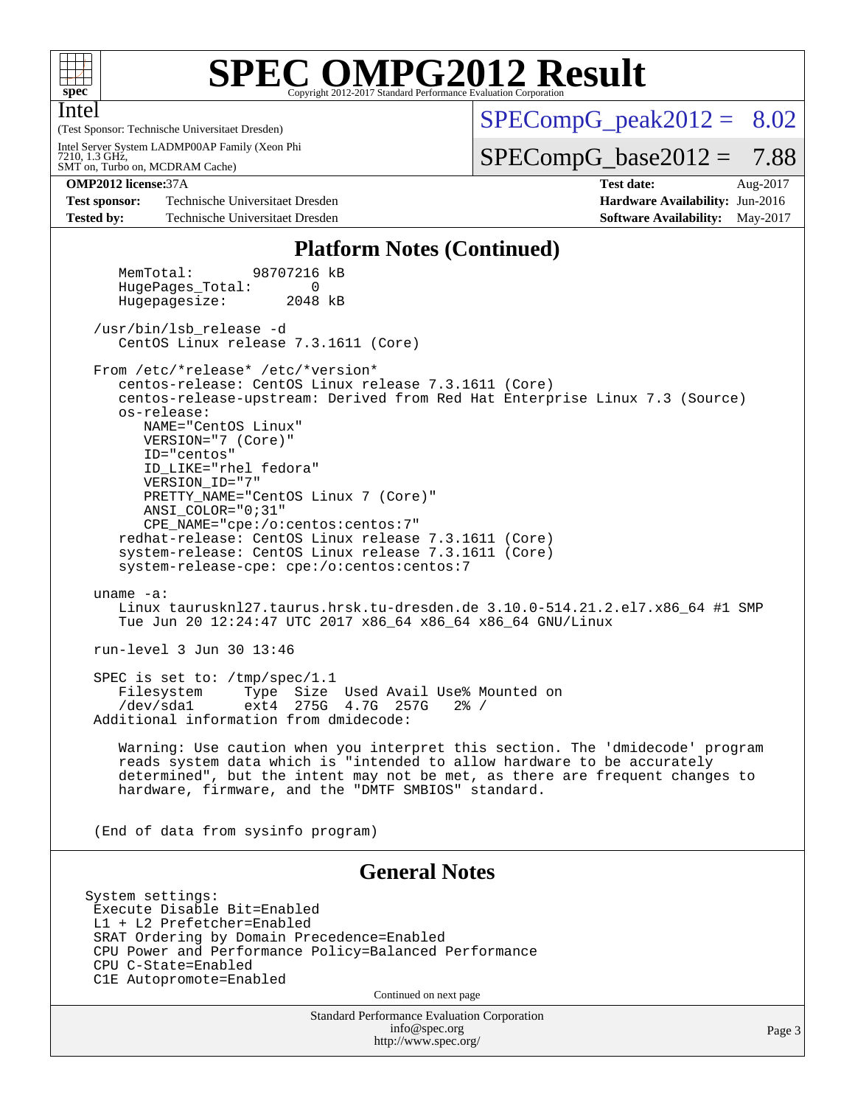

Intel

## **[SPEC OMPG2012 Result](http://www.spec.org/auto/omp2012/Docs/result-fields.html#SPECOMPG2012Result)**

(Test Sponsor: Technische Universitaet Dresden) SMT on, Turbo on, MCDRAM Cache) 7210, 1.3 GHz, Intel Server System LADMP00AP Family (Xeon Phi  $SPECompG_peak2012 = 8.02$  $SPECompG_peak2012 = 8.02$ 

 $SPECompG_base2012 = 7.88$  $SPECompG_base2012 = 7.88$ 

**[Test sponsor:](http://www.spec.org/auto/omp2012/Docs/result-fields.html#Testsponsor)** Technische Universitaet Dresden **[Hardware Availability:](http://www.spec.org/auto/omp2012/Docs/result-fields.html#HardwareAvailability)** Jun-2016 **[Tested by:](http://www.spec.org/auto/omp2012/Docs/result-fields.html#Testedby)** Technische Universitaet Dresden **[Software Availability:](http://www.spec.org/auto/omp2012/Docs/result-fields.html#SoftwareAvailability)** May-2017

**[OMP2012 license:](http://www.spec.org/auto/omp2012/Docs/result-fields.html#OMP2012license)**37A **[Test date:](http://www.spec.org/auto/omp2012/Docs/result-fields.html#Testdate)** Aug-2017

#### **[Platform Notes \(Continued\)](http://www.spec.org/auto/omp2012/Docs/result-fields.html#PlatformNotes)**

 MemTotal: 98707216 kB HugePages Total: 0 Hugepagesize: 2048 kB

 /usr/bin/lsb\_release -d CentOS Linux release 7.3.1611 (Core)

From /etc/\*release\* /etc/\*version\*

 centos-release: CentOS Linux release 7.3.1611 (Core) centos-release-upstream: Derived from Red Hat Enterprise Linux 7.3 (Source) os-release: NAME="CentOS Linux" VERSION="7 (Core)" ID="centos" ID\_LIKE="rhel fedora" VERSION\_ID="7" PRETTY\_NAME="CentOS\_Linux 7 (Core)" ANSI\_COLOR="0;31" CPE\_NAME="cpe:/o:centos:centos:7" redhat-release: CentOS Linux release 7.3.1611 (Core) system-release: CentOS Linux release 7.3.1611 (Core) system-release-cpe: cpe:/o:centos:centos:7

 uname -a: Linux taurusknl27.taurus.hrsk.tu-dresden.de 3.10.0-514.21.2.el7.x86 64 #1 SMP Tue Jun 20 12:24:47 UTC 2017 x86\_64 x86\_64 x86\_64 GNU/Linux

run-level 3 Jun 30 13:46

 SPEC is set to: /tmp/spec/1.1 Filesystem Type Size Used Avail Use% Mounted on /dev/sda1 ext4 275G 4.7G 257G 2% / Additional information from dmidecode:

 Warning: Use caution when you interpret this section. The 'dmidecode' program reads system data which is "intended to allow hardware to be accurately determined", but the intent may not be met, as there are frequent changes to hardware, firmware, and the "DMTF SMBIOS" standard.

(End of data from sysinfo program)

#### **[General Notes](http://www.spec.org/auto/omp2012/Docs/result-fields.html#GeneralNotes)**

System settings: Execute Disable Bit=Enabled L1 + L2 Prefetcher=Enabled SRAT Ordering by Domain Precedence=Enabled CPU Power and Performance Policy=Balanced Performance CPU C-State=Enabled C1E Autopromote=Enabled

Continued on next page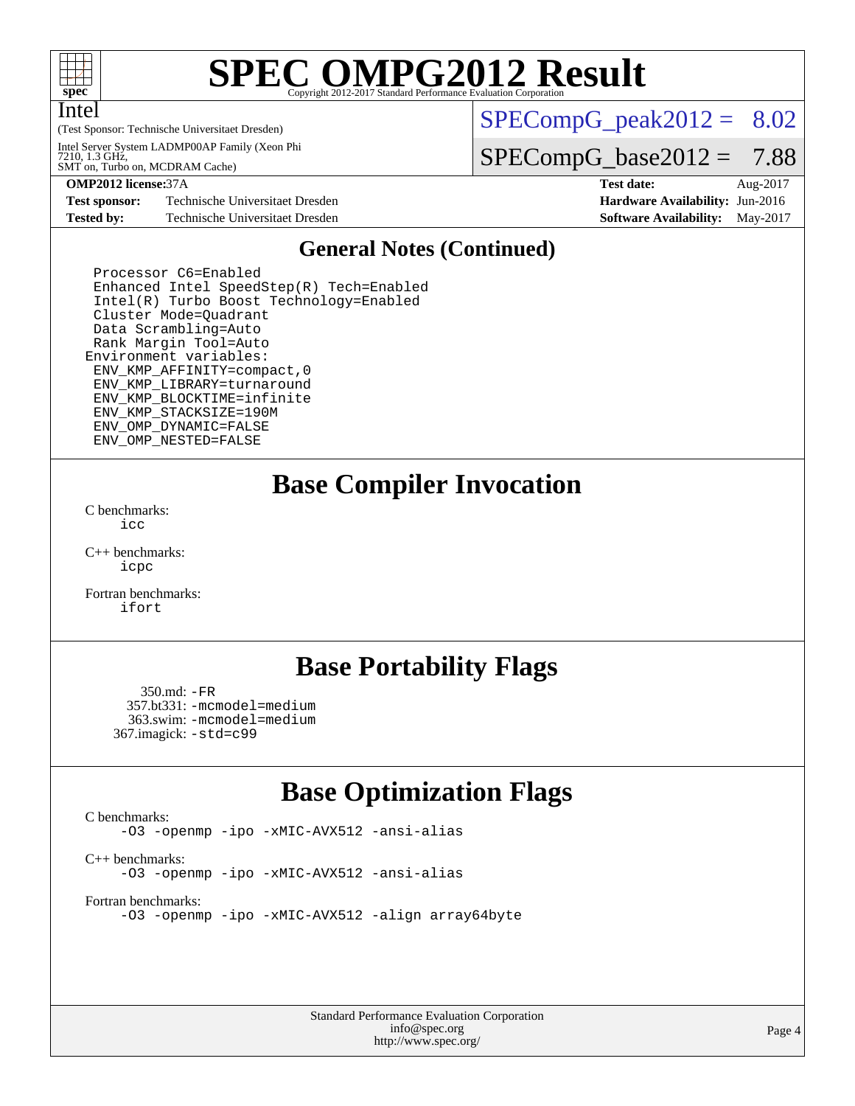

Intel

## **[SPEC OMPG2012 Result](http://www.spec.org/auto/omp2012/Docs/result-fields.html#SPECOMPG2012Result)**

(Test Sponsor: Technische Universitaet Dresden)

SMT on, Turbo on, MCDRAM Cache) 7210, 1.3 GHz, Intel Server System LADMP00AP Family (Xeon Phi  $SPECompG<sub>peak2012</sub> = 8.02$ 

 $SPECompG_base2012 = 7.88$  $SPECompG_base2012 = 7.88$ 

**[OMP2012 license:](http://www.spec.org/auto/omp2012/Docs/result-fields.html#OMP2012license)**37A **[Test date:](http://www.spec.org/auto/omp2012/Docs/result-fields.html#Testdate)** Aug-2017

**[Test sponsor:](http://www.spec.org/auto/omp2012/Docs/result-fields.html#Testsponsor)** Technische Universitaet Dresden **[Hardware Availability:](http://www.spec.org/auto/omp2012/Docs/result-fields.html#HardwareAvailability)** Jun-2016 **[Tested by:](http://www.spec.org/auto/omp2012/Docs/result-fields.html#Testedby)** Technische Universitaet Dresden **[Software Availability:](http://www.spec.org/auto/omp2012/Docs/result-fields.html#SoftwareAvailability)** May-2017

### **[General Notes \(Continued\)](http://www.spec.org/auto/omp2012/Docs/result-fields.html#GeneralNotes)**

 Processor C6=Enabled Enhanced Intel SpeedStep(R) Tech=Enabled Intel(R) Turbo Boost Technology=Enabled Cluster Mode=Quadrant Data Scrambling=Auto Rank Margin Tool=Auto Environment variables: ENV\_KMP\_AFFINITY=compact,0 ENV\_KMP\_LIBRARY=turnaround ENV\_KMP\_BLOCKTIME=infinite ENV\_KMP\_STACKSIZE=190M ENV\_OMP\_DYNAMIC=FALSE ENV\_OMP\_NESTED=FALSE

**[Base Compiler Invocation](http://www.spec.org/auto/omp2012/Docs/result-fields.html#BaseCompilerInvocation)**

[C benchmarks](http://www.spec.org/auto/omp2012/Docs/result-fields.html#Cbenchmarks): [icc](http://www.spec.org/omp2012/results/res2017q4/omp2012-20171023-00133.flags.html#user_CCbase_intel_cc_a87c68a857bc5ec5362391a49d3a37a6)

[C++ benchmarks:](http://www.spec.org/auto/omp2012/Docs/result-fields.html#CXXbenchmarks) [icpc](http://www.spec.org/omp2012/results/res2017q4/omp2012-20171023-00133.flags.html#user_CXXbase_intel_CC_2d899f8d163502b12eb4a60069f80c1c)

[Fortran benchmarks](http://www.spec.org/auto/omp2012/Docs/result-fields.html#Fortranbenchmarks): [ifort](http://www.spec.org/omp2012/results/res2017q4/omp2012-20171023-00133.flags.html#user_FCbase_intel_f90_8a5e5e06b19a251bdeaf8fdab5d62f20)

### **[Base Portability Flags](http://www.spec.org/auto/omp2012/Docs/result-fields.html#BasePortabilityFlags)**

 350.md: [-FR](http://www.spec.org/omp2012/results/res2017q4/omp2012-20171023-00133.flags.html#user_baseFPORTABILITY350_md_port_fr_826f1f71b114efdd895e50dc86c480ee) 357.bt331: [-mcmodel=medium](http://www.spec.org/omp2012/results/res2017q4/omp2012-20171023-00133.flags.html#user_basePORTABILITY357_bt331_mcmodel_3a41622424bdd074c4f0f2d2f224c7e5) 363.swim: [-mcmodel=medium](http://www.spec.org/omp2012/results/res2017q4/omp2012-20171023-00133.flags.html#user_basePORTABILITY363_swim_mcmodel_3a41622424bdd074c4f0f2d2f224c7e5) 367.imagick: [-std=c99](http://www.spec.org/omp2012/results/res2017q4/omp2012-20171023-00133.flags.html#user_baseCPORTABILITY367_imagick_port_std_2ec6533b6e06f1c4a6c9b78d9e9cde24)

### **[Base Optimization Flags](http://www.spec.org/auto/omp2012/Docs/result-fields.html#BaseOptimizationFlags)**

[C benchmarks](http://www.spec.org/auto/omp2012/Docs/result-fields.html#Cbenchmarks):

[-O3](http://www.spec.org/omp2012/results/res2017q4/omp2012-20171023-00133.flags.html#user_CCbase_O_1ec1effec8bc51870b35e140487c521e) [-openmp](http://www.spec.org/omp2012/results/res2017q4/omp2012-20171023-00133.flags.html#user_CCbase_F-openmp) [-ipo](http://www.spec.org/omp2012/results/res2017q4/omp2012-20171023-00133.flags.html#user_CCbase_ipo) [-xMIC-AVX512](http://www.spec.org/omp2012/results/res2017q4/omp2012-20171023-00133.flags.html#user_CCbase_xMIC-AVX512) [-ansi-alias](http://www.spec.org/omp2012/results/res2017q4/omp2012-20171023-00133.flags.html#user_CCbase_ansi-alias)

[C++ benchmarks:](http://www.spec.org/auto/omp2012/Docs/result-fields.html#CXXbenchmarks)

[-O3](http://www.spec.org/omp2012/results/res2017q4/omp2012-20171023-00133.flags.html#user_CXXbase_O_1ec1effec8bc51870b35e140487c521e) [-openmp](http://www.spec.org/omp2012/results/res2017q4/omp2012-20171023-00133.flags.html#user_CXXbase_F-openmp) [-ipo](http://www.spec.org/omp2012/results/res2017q4/omp2012-20171023-00133.flags.html#user_CXXbase_ipo) [-xMIC-AVX512](http://www.spec.org/omp2012/results/res2017q4/omp2012-20171023-00133.flags.html#user_CXXbase_xMIC-AVX512) [-ansi-alias](http://www.spec.org/omp2012/results/res2017q4/omp2012-20171023-00133.flags.html#user_CXXbase_ansi-alias)

[Fortran benchmarks](http://www.spec.org/auto/omp2012/Docs/result-fields.html#Fortranbenchmarks):

[-O3](http://www.spec.org/omp2012/results/res2017q4/omp2012-20171023-00133.flags.html#user_FCbase_O_1ec1effec8bc51870b35e140487c521e) [-openmp](http://www.spec.org/omp2012/results/res2017q4/omp2012-20171023-00133.flags.html#user_FCbase_F-openmp) [-ipo](http://www.spec.org/omp2012/results/res2017q4/omp2012-20171023-00133.flags.html#user_FCbase_ipo) [-xMIC-AVX512](http://www.spec.org/omp2012/results/res2017q4/omp2012-20171023-00133.flags.html#user_FCbase_xMIC-AVX512) [-align array64byte](http://www.spec.org/omp2012/results/res2017q4/omp2012-20171023-00133.flags.html#user_FCbase_align-array64byte_c9377f996e966d652baaf753401d4725)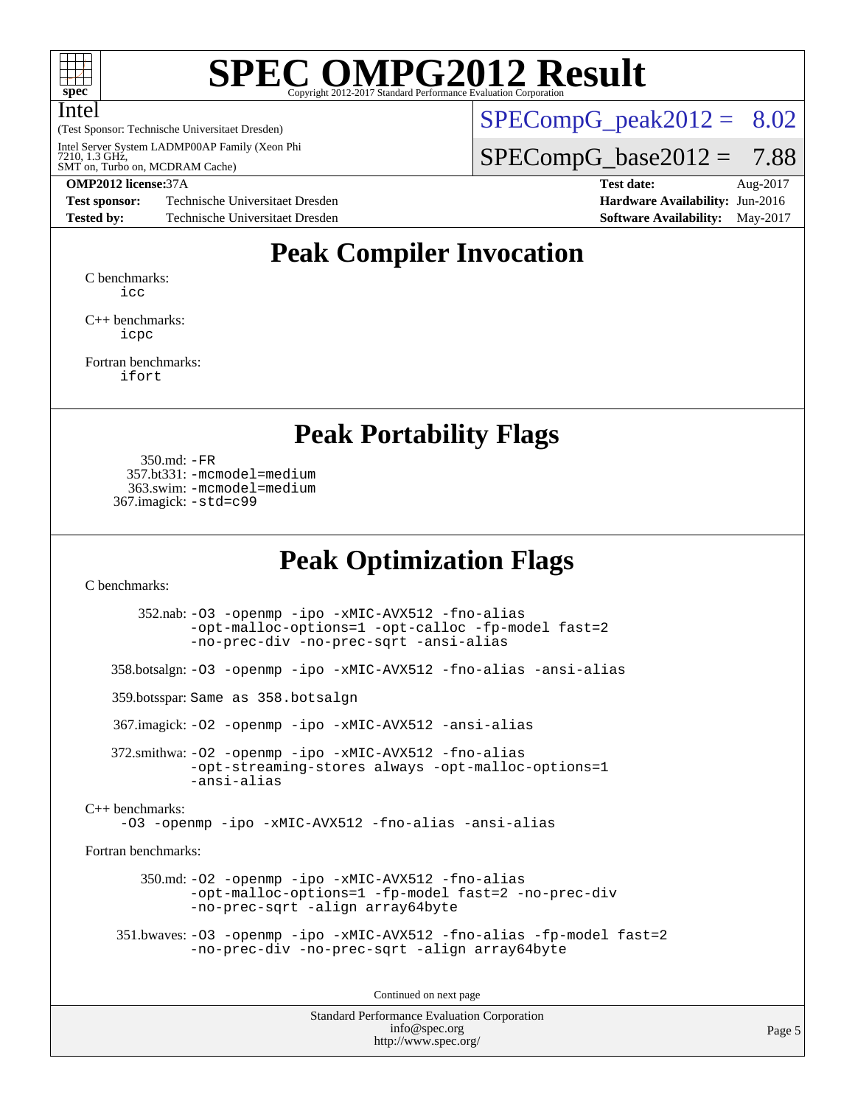

## **[SPEC OMPG2012 Result](http://www.spec.org/auto/omp2012/Docs/result-fields.html#SPECOMPG2012Result)**

(Test Sponsor: Technische Universitaet Dresden) Intel Intel Server System LADMP00AP Family (Xeon Phi<br>7210, 1.3 GHz,<br>SMT on, Turbo on, MCDRAM Cache)  $SPECompG<sub>peak2012</sub> = 8.02$ 

 $SPECompG_base2012 = 7.88$  $SPECompG_base2012 = 7.88$ 

**[Test sponsor:](http://www.spec.org/auto/omp2012/Docs/result-fields.html#Testsponsor)** Technische Universitaet Dresden **[Hardware Availability:](http://www.spec.org/auto/omp2012/Docs/result-fields.html#HardwareAvailability)** Jun-2016 **[Tested by:](http://www.spec.org/auto/omp2012/Docs/result-fields.html#Testedby)** Technische Universitaet Dresden **[Software Availability:](http://www.spec.org/auto/omp2012/Docs/result-fields.html#SoftwareAvailability)** May-2017

**[OMP2012 license:](http://www.spec.org/auto/omp2012/Docs/result-fields.html#OMP2012license)**37A **[Test date:](http://www.spec.org/auto/omp2012/Docs/result-fields.html#Testdate)** Aug-2017

## **[Peak Compiler Invocation](http://www.spec.org/auto/omp2012/Docs/result-fields.html#PeakCompilerInvocation)**

[C benchmarks](http://www.spec.org/auto/omp2012/Docs/result-fields.html#Cbenchmarks): [icc](http://www.spec.org/omp2012/results/res2017q4/omp2012-20171023-00133.flags.html#user_CCpeak_intel_cc_a87c68a857bc5ec5362391a49d3a37a6)

[C++ benchmarks:](http://www.spec.org/auto/omp2012/Docs/result-fields.html#CXXbenchmarks) [icpc](http://www.spec.org/omp2012/results/res2017q4/omp2012-20171023-00133.flags.html#user_CXXpeak_intel_CC_2d899f8d163502b12eb4a60069f80c1c)

[Fortran benchmarks](http://www.spec.org/auto/omp2012/Docs/result-fields.html#Fortranbenchmarks): [ifort](http://www.spec.org/omp2012/results/res2017q4/omp2012-20171023-00133.flags.html#user_FCpeak_intel_f90_8a5e5e06b19a251bdeaf8fdab5d62f20)

**[Peak Portability Flags](http://www.spec.org/auto/omp2012/Docs/result-fields.html#PeakPortabilityFlags)**

 350.md: [-FR](http://www.spec.org/omp2012/results/res2017q4/omp2012-20171023-00133.flags.html#user_peakFPORTABILITY350_md_port_fr_826f1f71b114efdd895e50dc86c480ee) 357.bt331: [-mcmodel=medium](http://www.spec.org/omp2012/results/res2017q4/omp2012-20171023-00133.flags.html#user_peakPORTABILITY357_bt331_mcmodel_3a41622424bdd074c4f0f2d2f224c7e5) 363.swim: [-mcmodel=medium](http://www.spec.org/omp2012/results/res2017q4/omp2012-20171023-00133.flags.html#user_peakPORTABILITY363_swim_mcmodel_3a41622424bdd074c4f0f2d2f224c7e5) 367.imagick: [-std=c99](http://www.spec.org/omp2012/results/res2017q4/omp2012-20171023-00133.flags.html#user_peakCPORTABILITY367_imagick_port_std_2ec6533b6e06f1c4a6c9b78d9e9cde24)

### **[Peak Optimization Flags](http://www.spec.org/auto/omp2012/Docs/result-fields.html#PeakOptimizationFlags)**

[C benchmarks](http://www.spec.org/auto/omp2012/Docs/result-fields.html#Cbenchmarks):

Standard Performance Evaluation Corporation [info@spec.org](mailto:info@spec.org) <http://www.spec.org/> 352.nab: [-O3](http://www.spec.org/omp2012/results/res2017q4/omp2012-20171023-00133.flags.html#user_peakOPTIMIZE352_nab_O_1ec1effec8bc51870b35e140487c521e) [-openmp](http://www.spec.org/omp2012/results/res2017q4/omp2012-20171023-00133.flags.html#user_peakOPTIMIZE352_nab_F-openmp) [-ipo](http://www.spec.org/omp2012/results/res2017q4/omp2012-20171023-00133.flags.html#user_peakOPTIMIZE352_nab_ipo) [-xMIC-AVX512](http://www.spec.org/omp2012/results/res2017q4/omp2012-20171023-00133.flags.html#user_peakOPTIMIZE352_nab_xMIC-AVX512) [-fno-alias](http://www.spec.org/omp2012/results/res2017q4/omp2012-20171023-00133.flags.html#user_peakOPTIMIZE352_nab_f-no-alias_694e77f6c5a51e658e82ccff53a9e63a) [-opt-malloc-options=1](http://www.spec.org/omp2012/results/res2017q4/omp2012-20171023-00133.flags.html#user_peakOPTIMIZE352_nab_f-opt-malloc-options_d882ffc6ff87e51efe45f9a5190004b0) [-opt-calloc](http://www.spec.org/omp2012/results/res2017q4/omp2012-20171023-00133.flags.html#user_peakOPTIMIZE352_nab_f-opt-calloc) [-fp-model fast=2](http://www.spec.org/omp2012/results/res2017q4/omp2012-20171023-00133.flags.html#user_peakOPTIMIZE352_nab_f-fp-model_a7fb8ccb7275e23f0079632c153cfcab) [-no-prec-div](http://www.spec.org/omp2012/results/res2017q4/omp2012-20171023-00133.flags.html#user_peakOPTIMIZE352_nab_no-prec-div) [-no-prec-sqrt](http://www.spec.org/omp2012/results/res2017q4/omp2012-20171023-00133.flags.html#user_peakOPTIMIZE352_nab_no-prec-sqrt) [-ansi-alias](http://www.spec.org/omp2012/results/res2017q4/omp2012-20171023-00133.flags.html#user_peakCOPTIMIZE352_nab_ansi-alias) 358.botsalgn: [-O3](http://www.spec.org/omp2012/results/res2017q4/omp2012-20171023-00133.flags.html#user_peakOPTIMIZE358_botsalgn_O_1ec1effec8bc51870b35e140487c521e) [-openmp](http://www.spec.org/omp2012/results/res2017q4/omp2012-20171023-00133.flags.html#user_peakOPTIMIZE358_botsalgn_F-openmp) [-ipo](http://www.spec.org/omp2012/results/res2017q4/omp2012-20171023-00133.flags.html#user_peakOPTIMIZE358_botsalgn_ipo) [-xMIC-AVX512](http://www.spec.org/omp2012/results/res2017q4/omp2012-20171023-00133.flags.html#user_peakOPTIMIZE358_botsalgn_xMIC-AVX512) [-fno-alias](http://www.spec.org/omp2012/results/res2017q4/omp2012-20171023-00133.flags.html#user_peakOPTIMIZE358_botsalgn_f-no-alias_694e77f6c5a51e658e82ccff53a9e63a) [-ansi-alias](http://www.spec.org/omp2012/results/res2017q4/omp2012-20171023-00133.flags.html#user_peakCOPTIMIZE358_botsalgn_ansi-alias) 359.botsspar: Same as 358.botsalgn 367.imagick: [-O2](http://www.spec.org/omp2012/results/res2017q4/omp2012-20171023-00133.flags.html#user_peakOPTIMIZE367_imagick_O_b5fb2f64a2668606ede8f74eb708e30b) [-openmp](http://www.spec.org/omp2012/results/res2017q4/omp2012-20171023-00133.flags.html#user_peakOPTIMIZE367_imagick_F-openmp) [-ipo](http://www.spec.org/omp2012/results/res2017q4/omp2012-20171023-00133.flags.html#user_peakOPTIMIZE367_imagick_ipo) [-xMIC-AVX512](http://www.spec.org/omp2012/results/res2017q4/omp2012-20171023-00133.flags.html#user_peakOPTIMIZE367_imagick_xMIC-AVX512) [-ansi-alias](http://www.spec.org/omp2012/results/res2017q4/omp2012-20171023-00133.flags.html#user_peakCOPTIMIZE367_imagick_ansi-alias) 372.smithwa: [-O2](http://www.spec.org/omp2012/results/res2017q4/omp2012-20171023-00133.flags.html#user_peakOPTIMIZE372_smithwa_O_b5fb2f64a2668606ede8f74eb708e30b) [-openmp](http://www.spec.org/omp2012/results/res2017q4/omp2012-20171023-00133.flags.html#user_peakOPTIMIZE372_smithwa_F-openmp) [-ipo](http://www.spec.org/omp2012/results/res2017q4/omp2012-20171023-00133.flags.html#user_peakOPTIMIZE372_smithwa_ipo) [-xMIC-AVX512](http://www.spec.org/omp2012/results/res2017q4/omp2012-20171023-00133.flags.html#user_peakOPTIMIZE372_smithwa_xMIC-AVX512) [-fno-alias](http://www.spec.org/omp2012/results/res2017q4/omp2012-20171023-00133.flags.html#user_peakOPTIMIZE372_smithwa_f-no-alias_694e77f6c5a51e658e82ccff53a9e63a) [-opt-streaming-stores always](http://www.spec.org/omp2012/results/res2017q4/omp2012-20171023-00133.flags.html#user_peakOPTIMIZE372_smithwa_f-opt-streaming-stores-always_66f55dbc532842151ebc4c82f4f5b019) [-opt-malloc-options=1](http://www.spec.org/omp2012/results/res2017q4/omp2012-20171023-00133.flags.html#user_peakOPTIMIZE372_smithwa_f-opt-malloc-options_d882ffc6ff87e51efe45f9a5190004b0) [-ansi-alias](http://www.spec.org/omp2012/results/res2017q4/omp2012-20171023-00133.flags.html#user_peakCOPTIMIZE372_smithwa_ansi-alias) [C++ benchmarks:](http://www.spec.org/auto/omp2012/Docs/result-fields.html#CXXbenchmarks) [-O3](http://www.spec.org/omp2012/results/res2017q4/omp2012-20171023-00133.flags.html#user_CXXpeak_O_1ec1effec8bc51870b35e140487c521e) [-openmp](http://www.spec.org/omp2012/results/res2017q4/omp2012-20171023-00133.flags.html#user_CXXpeak_F-openmp) [-ipo](http://www.spec.org/omp2012/results/res2017q4/omp2012-20171023-00133.flags.html#user_CXXpeak_ipo) [-xMIC-AVX512](http://www.spec.org/omp2012/results/res2017q4/omp2012-20171023-00133.flags.html#user_CXXpeak_xMIC-AVX512) [-fno-alias](http://www.spec.org/omp2012/results/res2017q4/omp2012-20171023-00133.flags.html#user_CXXpeak_f-no-alias_694e77f6c5a51e658e82ccff53a9e63a) [-ansi-alias](http://www.spec.org/omp2012/results/res2017q4/omp2012-20171023-00133.flags.html#user_CXXpeak_ansi-alias) [Fortran benchmarks](http://www.spec.org/auto/omp2012/Docs/result-fields.html#Fortranbenchmarks): 350.md: [-O2](http://www.spec.org/omp2012/results/res2017q4/omp2012-20171023-00133.flags.html#user_peakOPTIMIZE350_md_O_b5fb2f64a2668606ede8f74eb708e30b) [-openmp](http://www.spec.org/omp2012/results/res2017q4/omp2012-20171023-00133.flags.html#user_peakOPTIMIZE350_md_F-openmp) [-ipo](http://www.spec.org/omp2012/results/res2017q4/omp2012-20171023-00133.flags.html#user_peakOPTIMIZE350_md_ipo) [-xMIC-AVX512](http://www.spec.org/omp2012/results/res2017q4/omp2012-20171023-00133.flags.html#user_peakOPTIMIZE350_md_xMIC-AVX512) [-fno-alias](http://www.spec.org/omp2012/results/res2017q4/omp2012-20171023-00133.flags.html#user_peakOPTIMIZE350_md_f-no-alias_694e77f6c5a51e658e82ccff53a9e63a) [-opt-malloc-options=1](http://www.spec.org/omp2012/results/res2017q4/omp2012-20171023-00133.flags.html#user_peakOPTIMIZE350_md_f-opt-malloc-options_d882ffc6ff87e51efe45f9a5190004b0) [-fp-model fast=2](http://www.spec.org/omp2012/results/res2017q4/omp2012-20171023-00133.flags.html#user_peakFOPTIMIZE350_md_f-fp-model_a7fb8ccb7275e23f0079632c153cfcab) [-no-prec-div](http://www.spec.org/omp2012/results/res2017q4/omp2012-20171023-00133.flags.html#user_peakFOPTIMIZE350_md_no-prec-div) [-no-prec-sqrt](http://www.spec.org/omp2012/results/res2017q4/omp2012-20171023-00133.flags.html#user_peakFOPTIMIZE350_md_no-prec-sqrt) [-align array64byte](http://www.spec.org/omp2012/results/res2017q4/omp2012-20171023-00133.flags.html#user_peakFOPTIMIZE350_md_align-array64byte_c9377f996e966d652baaf753401d4725) 351.bwaves: [-O3](http://www.spec.org/omp2012/results/res2017q4/omp2012-20171023-00133.flags.html#user_peakOPTIMIZE351_bwaves_O_1ec1effec8bc51870b35e140487c521e) [-openmp](http://www.spec.org/omp2012/results/res2017q4/omp2012-20171023-00133.flags.html#user_peakOPTIMIZE351_bwaves_F-openmp) [-ipo](http://www.spec.org/omp2012/results/res2017q4/omp2012-20171023-00133.flags.html#user_peakOPTIMIZE351_bwaves_ipo) [-xMIC-AVX512](http://www.spec.org/omp2012/results/res2017q4/omp2012-20171023-00133.flags.html#user_peakOPTIMIZE351_bwaves_xMIC-AVX512) [-fno-alias](http://www.spec.org/omp2012/results/res2017q4/omp2012-20171023-00133.flags.html#user_peakOPTIMIZE351_bwaves_f-no-alias_694e77f6c5a51e658e82ccff53a9e63a) [-fp-model fast=2](http://www.spec.org/omp2012/results/res2017q4/omp2012-20171023-00133.flags.html#user_peakFOPTIMIZE351_bwaves_f-fp-model_a7fb8ccb7275e23f0079632c153cfcab) [-no-prec-div](http://www.spec.org/omp2012/results/res2017q4/omp2012-20171023-00133.flags.html#user_peakFOPTIMIZE351_bwaves_no-prec-div) [-no-prec-sqrt](http://www.spec.org/omp2012/results/res2017q4/omp2012-20171023-00133.flags.html#user_peakFOPTIMIZE351_bwaves_no-prec-sqrt) [-align array64byte](http://www.spec.org/omp2012/results/res2017q4/omp2012-20171023-00133.flags.html#user_peakFOPTIMIZE351_bwaves_align-array64byte_c9377f996e966d652baaf753401d4725) Continued on next page

Page 5